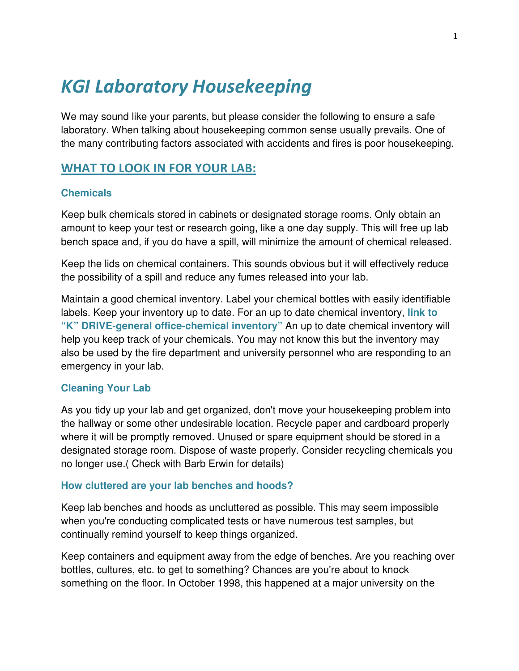# KGI Laboratory Housekeeping

We may sound like your parents, but please consider the following to ensure a safe laboratory. When talking about housekeeping common sense usually prevails. One of the many contributing factors associated with accidents and fires is poor housekeeping.

# WHAT TO LOOK IN FOR YOUR LAB:

## **Chemicals**

Keep bulk chemicals stored in cabinets or designated storage rooms. Only obtain an amount to keep your test or research going, like a one day supply. This will free up lab bench space and, if you do have a spill, will minimize the amount of chemical released.

Keep the lids on chemical containers. This sounds obvious but it will effectively reduce the possibility of a spill and reduce any fumes released into your lab.

Maintain a good chemical inventory. Label your chemical bottles with easily identifiable labels. Keep your inventory up to date. For an up to date chemical inventory, **link to "K" DRIVE-general office-chemical inventory"** An up to date chemical inventory will help you keep track of your chemicals. You may not know this but the inventory may also be used by the fire department and university personnel who are responding to an emergency in your lab.

#### **Cleaning Your Lab**

As you tidy up your lab and get organized, don't move your housekeeping problem into the hallway or some other undesirable location. Recycle paper and cardboard properly where it will be promptly removed. Unused or spare equipment should be stored in a designated storage room. Dispose of waste properly. Consider recycling chemicals you no longer use.( Check with Barb Erwin for details)

#### **How cluttered are your lab benches and hoods?**

Keep lab benches and hoods as uncluttered as possible. This may seem impossible when you're conducting complicated tests or have numerous test samples, but continually remind yourself to keep things organized.

Keep containers and equipment away from the edge of benches. Are you reaching over bottles, cultures, etc. to get to something? Chances are you're about to knock something on the floor. In October 1998, this happened at a major university on the